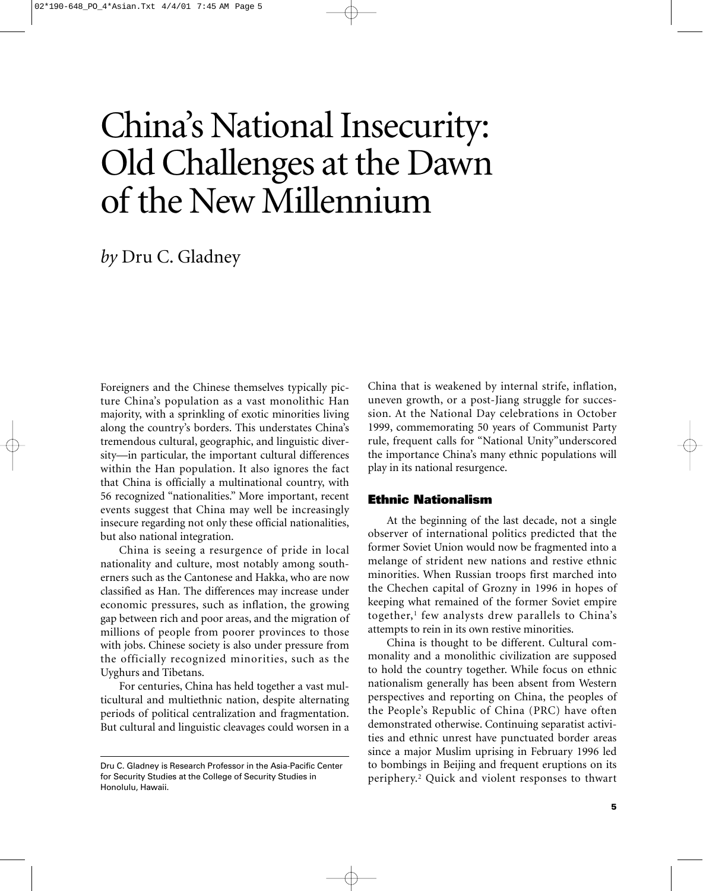# China's National Insecurity: Old Challenges at the Dawn of the New Millennium

# *by* Dru C. Gladney

Foreigners and the Chinese themselves typically picture China's population as a vast monolithic Han majority, with a sprinkling of exotic minorities living along the country's borders. This understates China's tremendous cultural, geographic, and linguistic diversity—in particular, the important cultural differences within the Han population. It also ignores the fact that China is officially a multinational country, with 56 recognized "nationalities." More important, recent events suggest that China may well be increasingly insecure regarding not only these official nationalities, but also national integration.

China is seeing a resurgence of pride in local nationality and culture, most notably among southerners such as the Cantonese and Hakka, who are now classified as Han. The differences may increase under economic pressures, such as inflation, the growing gap between rich and poor areas, and the migration of millions of people from poorer provinces to those with jobs. Chinese society is also under pressure from the officially recognized minorities, such as the Uyghurs and Tibetans.

For centuries, China has held together a vast multicultural and multiethnic nation, despite alternating periods of political centralization and fragmentation. But cultural and linguistic cleavages could worsen in a China that is weakened by internal strife, inflation, uneven growth, or a post-Jiang struggle for succession. At the National Day celebrations in October 1999, commemorating 50 years of Communist Party rule, frequent calls for "National Unity"underscored the importance China's many ethnic populations will play in its national resurgence.

#### **Ethnic Nationalism**

At the beginning of the last decade, not a single observer of international politics predicted that the former Soviet Union would now be fragmented into a melange of strident new nations and restive ethnic minorities. When Russian troops first marched into the Chechen capital of Grozny in 1996 in hopes of keeping what remained of the former Soviet empire together, $<sup>1</sup>$  few analysts drew parallels to China's</sup> attempts to rein in its own restive minorities.

China is thought to be different. Cultural commonality and a monolithic civilization are supposed to hold the country together. While focus on ethnic nationalism generally has been absent from Western perspectives and reporting on China, the peoples of the People's Republic of China (PRC) have often demonstrated otherwise. Continuing separatist activities and ethnic unrest have punctuated border areas since a major Muslim uprising in February 1996 led to bombings in Beijing and frequent eruptions on its periphery.2 Quick and violent responses to thwart

Dru C. Gladney is Research Professor in the Asia-Pacific Center for Security Studies at the College of Security Studies in Honolulu, Hawaii.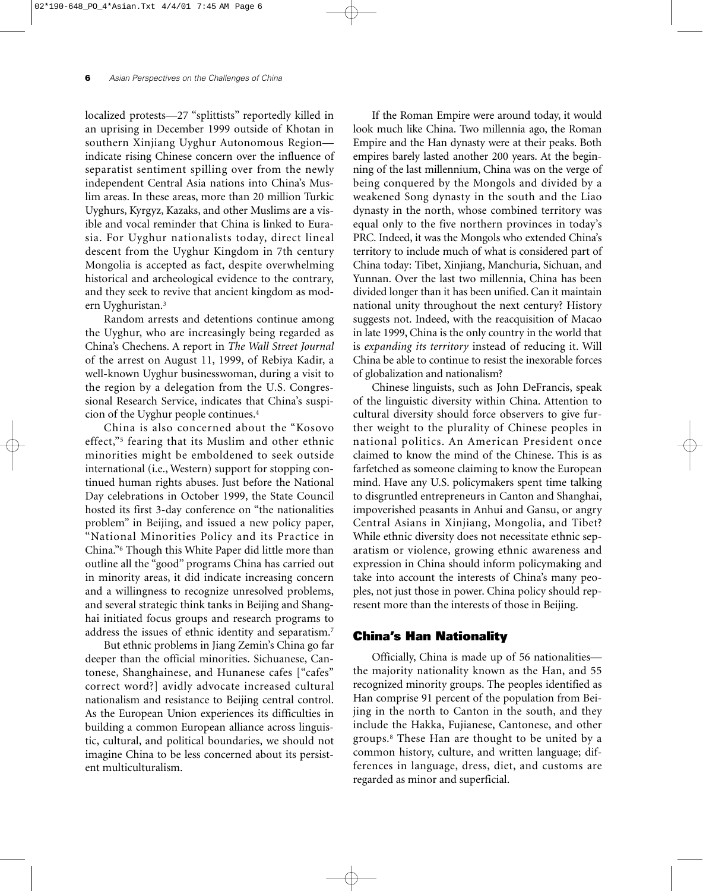localized protests—27 "splittists" reportedly killed in an uprising in December 1999 outside of Khotan in southern Xinjiang Uyghur Autonomous Region indicate rising Chinese concern over the influence of separatist sentiment spilling over from the newly independent Central Asia nations into China's Muslim areas. In these areas, more than 20 million Turkic Uyghurs, Kyrgyz, Kazaks, and other Muslims are a visible and vocal reminder that China is linked to Eurasia. For Uyghur nationalists today, direct lineal descent from the Uyghur Kingdom in 7th century Mongolia is accepted as fact, despite overwhelming historical and archeological evidence to the contrary, and they seek to revive that ancient kingdom as modern Uyghuristan.3

Random arrests and detentions continue among the Uyghur, who are increasingly being regarded as China's Chechens. A report in *The Wall Street Journal* of the arrest on August 11, 1999, of Rebiya Kadir, a well-known Uyghur businesswoman, during a visit to the region by a delegation from the U.S. Congressional Research Service, indicates that China's suspicion of the Uyghur people continues.4

China is also concerned about the "Kosovo effect,"5 fearing that its Muslim and other ethnic minorities might be emboldened to seek outside international (i.e., Western) support for stopping continued human rights abuses. Just before the National Day celebrations in October 1999, the State Council hosted its first 3-day conference on "the nationalities problem" in Beijing, and issued a new policy paper, "National Minorities Policy and its Practice in China."6 Though this White Paper did little more than outline all the "good" programs China has carried out in minority areas, it did indicate increasing concern and a willingness to recognize unresolved problems, and several strategic think tanks in Beijing and Shanghai initiated focus groups and research programs to address the issues of ethnic identity and separatism.7

But ethnic problems in Jiang Zemin's China go far deeper than the official minorities. Sichuanese, Cantonese, Shanghainese, and Hunanese cafes ["cafes" correct word?] avidly advocate increased cultural nationalism and resistance to Beijing central control. As the European Union experiences its difficulties in building a common European alliance across linguistic, cultural, and political boundaries, we should not imagine China to be less concerned about its persistent multiculturalism.

If the Roman Empire were around today, it would look much like China. Two millennia ago, the Roman Empire and the Han dynasty were at their peaks. Both empires barely lasted another 200 years. At the beginning of the last millennium, China was on the verge of being conquered by the Mongols and divided by a weakened Song dynasty in the south and the Liao dynasty in the north, whose combined territory was equal only to the five northern provinces in today's PRC. Indeed, it was the Mongols who extended China's territory to include much of what is considered part of China today: Tibet, Xinjiang, Manchuria, Sichuan, and Yunnan. Over the last two millennia, China has been divided longer than it has been unified. Can it maintain national unity throughout the next century? History suggests not. Indeed, with the reacquisition of Macao in late 1999, China is the only country in the world that is *expanding its territory* instead of reducing it. Will China be able to continue to resist the inexorable forces of globalization and nationalism?

Chinese linguists, such as John DeFrancis, speak of the linguistic diversity within China. Attention to cultural diversity should force observers to give further weight to the plurality of Chinese peoples in national politics. An American President once claimed to know the mind of the Chinese. This is as farfetched as someone claiming to know the European mind. Have any U.S. policymakers spent time talking to disgruntled entrepreneurs in Canton and Shanghai, impoverished peasants in Anhui and Gansu, or angry Central Asians in Xinjiang, Mongolia, and Tibet? While ethnic diversity does not necessitate ethnic separatism or violence, growing ethnic awareness and expression in China should inform policymaking and take into account the interests of China's many peoples, not just those in power. China policy should represent more than the interests of those in Beijing.

#### **China's Han Nationality**

Officially, China is made up of 56 nationalities the majority nationality known as the Han, and 55 recognized minority groups. The peoples identified as Han comprise 91 percent of the population from Beijing in the north to Canton in the south, and they include the Hakka, Fujianese, Cantonese, and other groups.8 These Han are thought to be united by a common history, culture, and written language; differences in language, dress, diet, and customs are regarded as minor and superficial.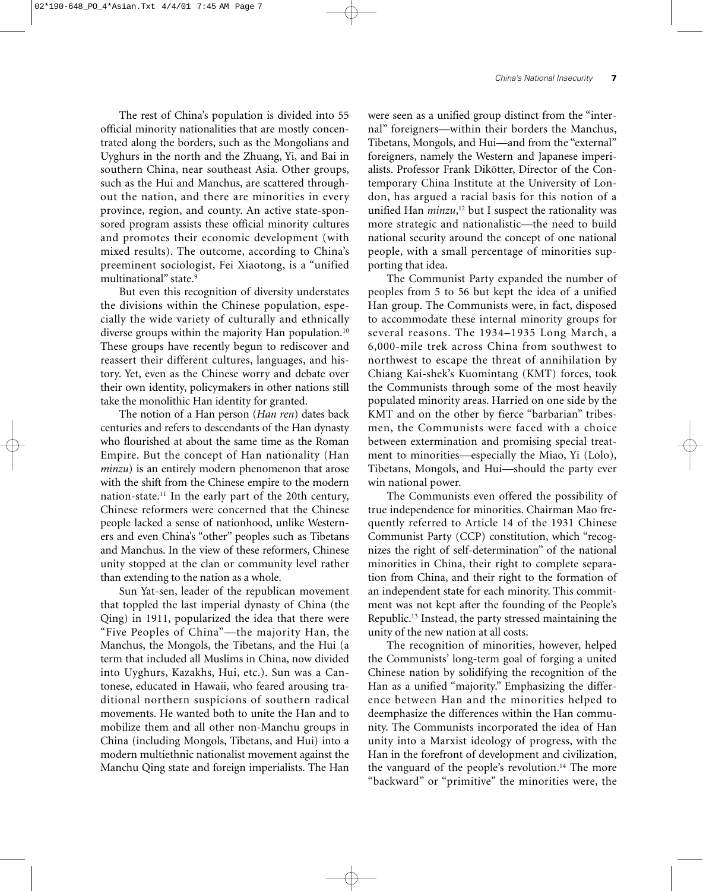The rest of China's population is divided into 55 official minority nationalities that are mostly concentrated along the borders, such as the Mongolians and Uyghurs in the north and the Zhuang, Yi, and Bai in southern China, near southeast Asia. Other groups, such as the Hui and Manchus, are scattered throughout the nation, and there are minorities in every province, region, and county. An active state-sponsored program assists these official minority cultures and promotes their economic development (with mixed results). The outcome, according to China's preeminent sociologist, Fei Xiaotong, is a "unified multinational" state.9

But even this recognition of diversity understates the divisions within the Chinese population, especially the wide variety of culturally and ethnically diverse groups within the majority Han population.<sup>10</sup> These groups have recently begun to rediscover and reassert their different cultures, languages, and history. Yet, even as the Chinese worry and debate over their own identity, policymakers in other nations still take the monolithic Han identity for granted.

The notion of a Han person (*Han ren*) dates back centuries and refers to descendants of the Han dynasty who flourished at about the same time as the Roman Empire. But the concept of Han nationality (Han *minzu*) is an entirely modern phenomenon that arose with the shift from the Chinese empire to the modern nation-state.11 In the early part of the 20th century, Chinese reformers were concerned that the Chinese people lacked a sense of nationhood, unlike Westerners and even China's "other" peoples such as Tibetans and Manchus. In the view of these reformers, Chinese unity stopped at the clan or community level rather than extending to the nation as a whole.

Sun Yat-sen, leader of the republican movement that toppled the last imperial dynasty of China (the Qing) in 1911, popularized the idea that there were "Five Peoples of China"—the majority Han, the Manchus, the Mongols, the Tibetans, and the Hui (a term that included all Muslims in China, now divided into Uyghurs, Kazakhs, Hui, etc.). Sun was a Cantonese, educated in Hawaii, who feared arousing traditional northern suspicions of southern radical movements. He wanted both to unite the Han and to mobilize them and all other non-Manchu groups in China (including Mongols, Tibetans, and Hui) into a modern multiethnic nationalist movement against the Manchu Qing state and foreign imperialists. The Han

were seen as a unified group distinct from the "internal" foreigners—within their borders the Manchus, Tibetans, Mongols, and Hui—and from the "external" foreigners, namely the Western and Japanese imperialists. Professor Frank Dikötter, Director of the Contemporary China Institute at the University of London, has argued a racial basis for this notion of a unified Han *minzu*, <sup>12</sup> but I suspect the rationality was more strategic and nationalistic—the need to build national security around the concept of one national people, with a small percentage of minorities supporting that idea.

The Communist Party expanded the number of peoples from 5 to 56 but kept the idea of a unified Han group. The Communists were, in fact, disposed to accommodate these internal minority groups for several reasons. The 1934–1935 Long March, a 6,000-mile trek across China from southwest to northwest to escape the threat of annihilation by Chiang Kai-shek's Kuomintang (KMT) forces, took the Communists through some of the most heavily populated minority areas. Harried on one side by the KMT and on the other by fierce "barbarian" tribesmen, the Communists were faced with a choice between extermination and promising special treatment to minorities—especially the Miao, Yi (Lolo), Tibetans, Mongols, and Hui—should the party ever win national power.

The Communists even offered the possibility of true independence for minorities. Chairman Mao frequently referred to Article 14 of the 1931 Chinese Communist Party (CCP) constitution, which "recognizes the right of self-determination" of the national minorities in China, their right to complete separation from China, and their right to the formation of an independent state for each minority. This commitment was not kept after the founding of the People's Republic.13 Instead, the party stressed maintaining the unity of the new nation at all costs.

The recognition of minorities, however, helped the Communists' long-term goal of forging a united Chinese nation by solidifying the recognition of the Han as a unified "majority." Emphasizing the difference between Han and the minorities helped to deemphasize the differences within the Han community. The Communists incorporated the idea of Han unity into a Marxist ideology of progress, with the Han in the forefront of development and civilization, the vanguard of the people's revolution.<sup>14</sup> The more "backward" or "primitive" the minorities were, the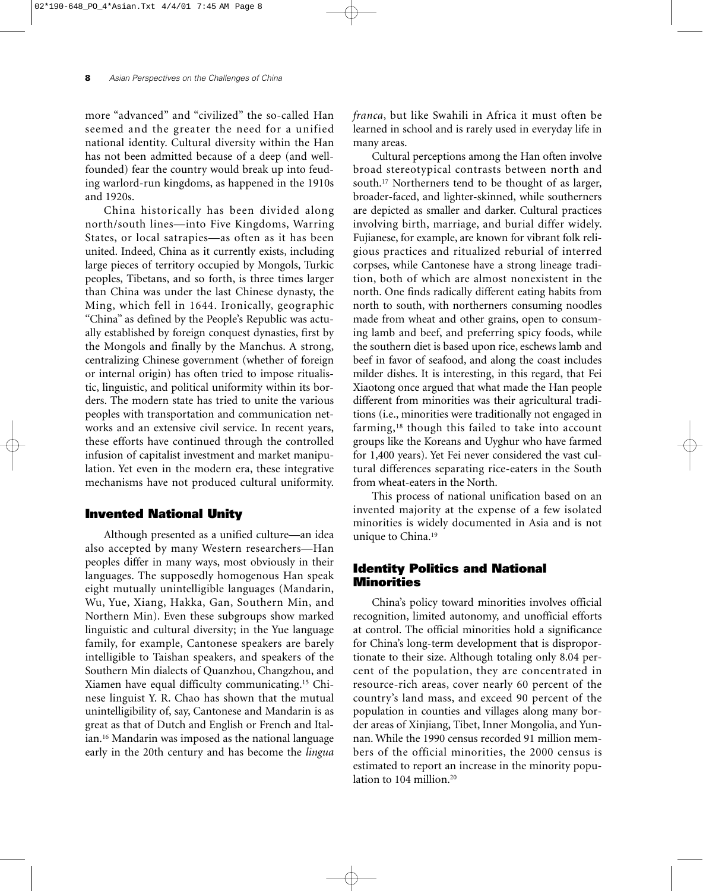more "advanced" and "civilized" the so-called Han seemed and the greater the need for a unified national identity. Cultural diversity within the Han has not been admitted because of a deep (and wellfounded) fear the country would break up into feuding warlord-run kingdoms, as happened in the 1910s and 1920s.

China historically has been divided along north/south lines—into Five Kingdoms, Warring States, or local satrapies—as often as it has been united. Indeed, China as it currently exists, including large pieces of territory occupied by Mongols, Turkic peoples, Tibetans, and so forth, is three times larger than China was under the last Chinese dynasty, the Ming, which fell in 1644. Ironically, geographic "China" as defined by the People's Republic was actually established by foreign conquest dynasties, first by the Mongols and finally by the Manchus. A strong, centralizing Chinese government (whether of foreign or internal origin) has often tried to impose ritualistic, linguistic, and political uniformity within its borders. The modern state has tried to unite the various peoples with transportation and communication networks and an extensive civil service. In recent years, these efforts have continued through the controlled infusion of capitalist investment and market manipulation. Yet even in the modern era, these integrative mechanisms have not produced cultural uniformity.

## **Invented National Unity**

Although presented as a unified culture—an idea also accepted by many Western researchers—Han peoples differ in many ways, most obviously in their languages. The supposedly homogenous Han speak eight mutually unintelligible languages (Mandarin, Wu, Yue, Xiang, Hakka, Gan, Southern Min, and Northern Min). Even these subgroups show marked linguistic and cultural diversity; in the Yue language family, for example, Cantonese speakers are barely intelligible to Taishan speakers, and speakers of the Southern Min dialects of Quanzhou, Changzhou, and Xiamen have equal difficulty communicating.15 Chinese linguist Y. R. Chao has shown that the mutual unintelligibility of, say, Cantonese and Mandarin is as great as that of Dutch and English or French and Italian.16 Mandarin was imposed as the national language early in the 20th century and has become the *lingua*

*franca*, but like Swahili in Africa it must often be learned in school and is rarely used in everyday life in many areas.

Cultural perceptions among the Han often involve broad stereotypical contrasts between north and south.17 Northerners tend to be thought of as larger, broader-faced, and lighter-skinned, while southerners are depicted as smaller and darker. Cultural practices involving birth, marriage, and burial differ widely. Fujianese, for example, are known for vibrant folk religious practices and ritualized reburial of interred corpses, while Cantonese have a strong lineage tradition, both of which are almost nonexistent in the north. One finds radically different eating habits from north to south, with northerners consuming noodles made from wheat and other grains, open to consuming lamb and beef, and preferring spicy foods, while the southern diet is based upon rice, eschews lamb and beef in favor of seafood, and along the coast includes milder dishes. It is interesting, in this regard, that Fei Xiaotong once argued that what made the Han people different from minorities was their agricultural traditions (i.e., minorities were traditionally not engaged in farming,<sup>18</sup> though this failed to take into account groups like the Koreans and Uyghur who have farmed for 1,400 years). Yet Fei never considered the vast cultural differences separating rice-eaters in the South from wheat-eaters in the North.

This process of national unification based on an invented majority at the expense of a few isolated minorities is widely documented in Asia and is not unique to China.<sup>19</sup>

### **Identity Politics and National Minorities**

China's policy toward minorities involves official recognition, limited autonomy, and unofficial efforts at control. The official minorities hold a significance for China's long-term development that is disproportionate to their size. Although totaling only 8.04 percent of the population, they are concentrated in resource-rich areas, cover nearly 60 percent of the country's land mass, and exceed 90 percent of the population in counties and villages along many border areas of Xinjiang, Tibet, Inner Mongolia, and Yunnan. While the 1990 census recorded 91 million members of the official minorities, the 2000 census is estimated to report an increase in the minority population to 104 million.<sup>20</sup>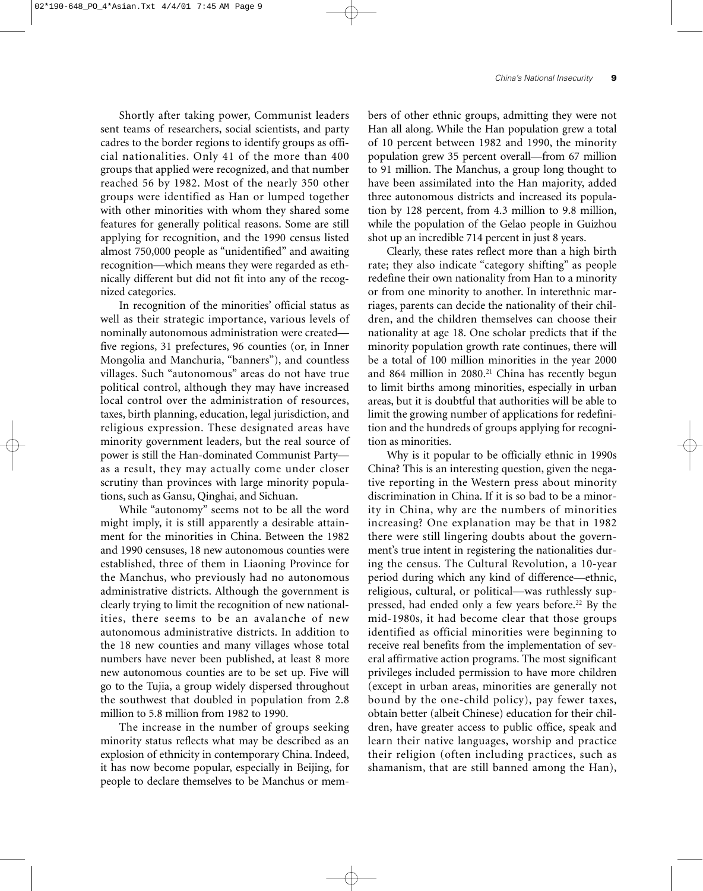Shortly after taking power, Communist leaders sent teams of researchers, social scientists, and party cadres to the border regions to identify groups as official nationalities. Only 41 of the more than 400 groups that applied were recognized, and that number reached 56 by 1982. Most of the nearly 350 other groups were identified as Han or lumped together with other minorities with whom they shared some features for generally political reasons. Some are still applying for recognition, and the 1990 census listed almost 750,000 people as "unidentified" and awaiting recognition—which means they were regarded as ethnically different but did not fit into any of the recognized categories.

In recognition of the minorities' official status as well as their strategic importance, various levels of nominally autonomous administration were created five regions, 31 prefectures, 96 counties (or, in Inner Mongolia and Manchuria, "banners"), and countless villages. Such "autonomous" areas do not have true political control, although they may have increased local control over the administration of resources, taxes, birth planning, education, legal jurisdiction, and religious expression. These designated areas have minority government leaders, but the real source of power is still the Han-dominated Communist Party as a result, they may actually come under closer scrutiny than provinces with large minority populations, such as Gansu, Qinghai, and Sichuan.

While "autonomy" seems not to be all the word might imply, it is still apparently a desirable attainment for the minorities in China. Between the 1982 and 1990 censuses, 18 new autonomous counties were established, three of them in Liaoning Province for the Manchus, who previously had no autonomous administrative districts. Although the government is clearly trying to limit the recognition of new nationalities, there seems to be an avalanche of new autonomous administrative districts. In addition to the 18 new counties and many villages whose total numbers have never been published, at least 8 more new autonomous counties are to be set up. Five will go to the Tujia, a group widely dispersed throughout the southwest that doubled in population from 2.8 million to 5.8 million from 1982 to 1990.

The increase in the number of groups seeking minority status reflects what may be described as an explosion of ethnicity in contemporary China. Indeed, it has now become popular, especially in Beijing, for people to declare themselves to be Manchus or mem-

bers of other ethnic groups, admitting they were not Han all along. While the Han population grew a total of 10 percent between 1982 and 1990, the minority population grew 35 percent overall—from 67 million to 91 million. The Manchus, a group long thought to have been assimilated into the Han majority, added three autonomous districts and increased its population by 128 percent, from 4.3 million to 9.8 million, while the population of the Gelao people in Guizhou shot up an incredible 714 percent in just 8 years.

Clearly, these rates reflect more than a high birth rate; they also indicate "category shifting" as people redefine their own nationality from Han to a minority or from one minority to another. In interethnic marriages, parents can decide the nationality of their children, and the children themselves can choose their nationality at age 18. One scholar predicts that if the minority population growth rate continues, there will be a total of 100 million minorities in the year 2000 and 864 million in 2080.<sup>21</sup> China has recently begun to limit births among minorities, especially in urban areas, but it is doubtful that authorities will be able to limit the growing number of applications for redefinition and the hundreds of groups applying for recognition as minorities.

Why is it popular to be officially ethnic in 1990s China? This is an interesting question, given the negative reporting in the Western press about minority discrimination in China. If it is so bad to be a minority in China, why are the numbers of minorities increasing? One explanation may be that in 1982 there were still lingering doubts about the government's true intent in registering the nationalities during the census. The Cultural Revolution, a 10-year period during which any kind of difference—ethnic, religious, cultural, or political—was ruthlessly suppressed, had ended only a few years before.<sup>22</sup> By the mid-1980s, it had become clear that those groups identified as official minorities were beginning to receive real benefits from the implementation of several affirmative action programs. The most significant privileges included permission to have more children (except in urban areas, minorities are generally not bound by the one-child policy), pay fewer taxes, obtain better (albeit Chinese) education for their children, have greater access to public office, speak and learn their native languages, worship and practice their religion (often including practices, such as shamanism, that are still banned among the Han),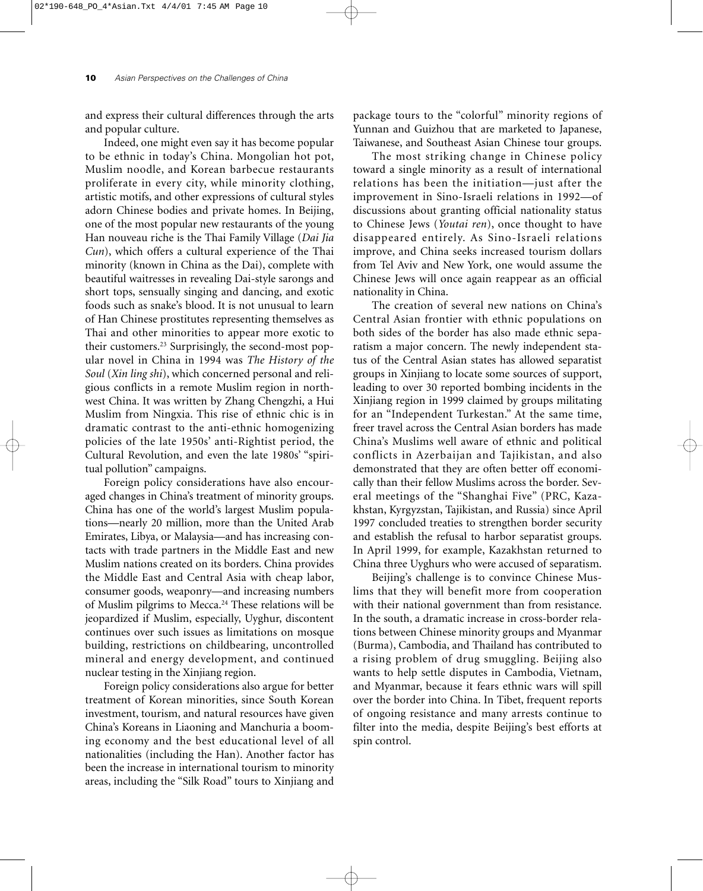and express their cultural differences through the arts and popular culture.

Indeed, one might even say it has become popular to be ethnic in today's China. Mongolian hot pot, Muslim noodle, and Korean barbecue restaurants proliferate in every city, while minority clothing, artistic motifs, and other expressions of cultural styles adorn Chinese bodies and private homes. In Beijing, one of the most popular new restaurants of the young Han nouveau riche is the Thai Family Village (*Dai Jia Cun*), which offers a cultural experience of the Thai minority (known in China as the Dai), complete with beautiful waitresses in revealing Dai-style sarongs and short tops, sensually singing and dancing, and exotic foods such as snake's blood. It is not unusual to learn of Han Chinese prostitutes representing themselves as Thai and other minorities to appear more exotic to their customers.23 Surprisingly, the second-most popular novel in China in 1994 was *The History of the Soul* (*Xin ling shi*), which concerned personal and religious conflicts in a remote Muslim region in northwest China. It was written by Zhang Chengzhi, a Hui Muslim from Ningxia. This rise of ethnic chic is in dramatic contrast to the anti-ethnic homogenizing policies of the late 1950s' anti-Rightist period, the Cultural Revolution, and even the late 1980s' "spiritual pollution" campaigns.

Foreign policy considerations have also encouraged changes in China's treatment of minority groups. China has one of the world's largest Muslim populations—nearly 20 million, more than the United Arab Emirates, Libya, or Malaysia—and has increasing contacts with trade partners in the Middle East and new Muslim nations created on its borders. China provides the Middle East and Central Asia with cheap labor, consumer goods, weaponry—and increasing numbers of Muslim pilgrims to Mecca.24 These relations will be jeopardized if Muslim, especially, Uyghur, discontent continues over such issues as limitations on mosque building, restrictions on childbearing, uncontrolled mineral and energy development, and continued nuclear testing in the Xinjiang region.

Foreign policy considerations also argue for better treatment of Korean minorities, since South Korean investment, tourism, and natural resources have given China's Koreans in Liaoning and Manchuria a booming economy and the best educational level of all nationalities (including the Han). Another factor has been the increase in international tourism to minority areas, including the "Silk Road" tours to Xinjiang and

package tours to the "colorful" minority regions of Yunnan and Guizhou that are marketed to Japanese, Taiwanese, and Southeast Asian Chinese tour groups.

The most striking change in Chinese policy toward a single minority as a result of international relations has been the initiation—just after the improvement in Sino-Israeli relations in 1992—of discussions about granting official nationality status to Chinese Jews (*Youtai ren*), once thought to have disappeared entirely. As Sino-Israeli relations improve, and China seeks increased tourism dollars from Tel Aviv and New York, one would assume the Chinese Jews will once again reappear as an official nationality in China.

The creation of several new nations on China's Central Asian frontier with ethnic populations on both sides of the border has also made ethnic separatism a major concern. The newly independent status of the Central Asian states has allowed separatist groups in Xinjiang to locate some sources of support, leading to over 30 reported bombing incidents in the Xinjiang region in 1999 claimed by groups militating for an "Independent Turkestan." At the same time, freer travel across the Central Asian borders has made China's Muslims well aware of ethnic and political conflicts in Azerbaijan and Tajikistan, and also demonstrated that they are often better off economically than their fellow Muslims across the border. Several meetings of the "Shanghai Five" (PRC, Kazakhstan, Kyrgyzstan, Tajikistan, and Russia) since April 1997 concluded treaties to strengthen border security and establish the refusal to harbor separatist groups. In April 1999, for example, Kazakhstan returned to China three Uyghurs who were accused of separatism.

Beijing's challenge is to convince Chinese Muslims that they will benefit more from cooperation with their national government than from resistance. In the south, a dramatic increase in cross-border relations between Chinese minority groups and Myanmar (Burma), Cambodia, and Thailand has contributed to a rising problem of drug smuggling. Beijing also wants to help settle disputes in Cambodia, Vietnam, and Myanmar, because it fears ethnic wars will spill over the border into China. In Tibet, frequent reports of ongoing resistance and many arrests continue to filter into the media, despite Beijing's best efforts at spin control.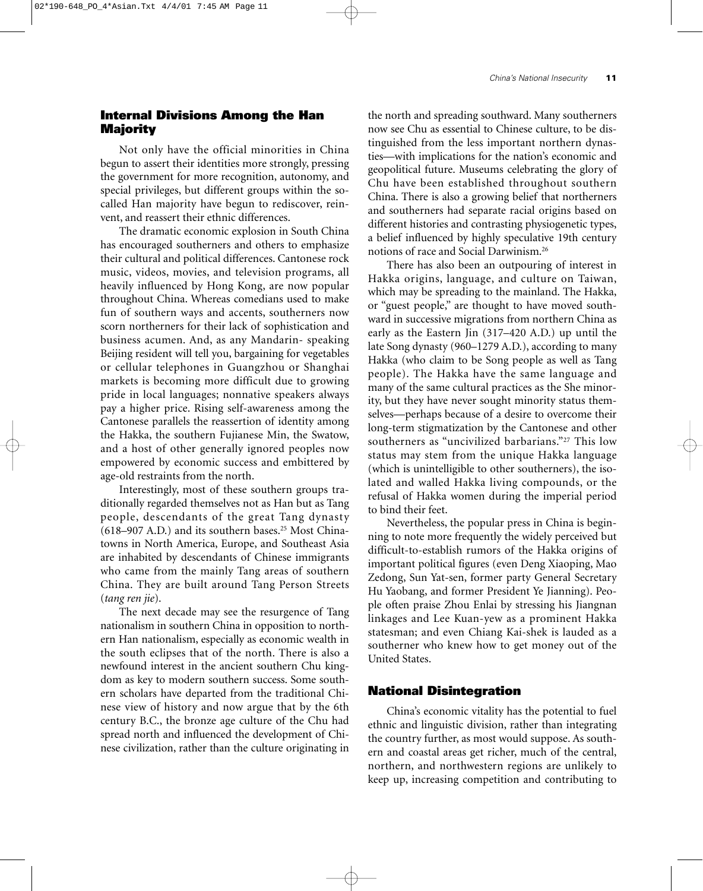### **Internal Divisions Among the Han Majority**

Not only have the official minorities in China begun to assert their identities more strongly, pressing the government for more recognition, autonomy, and special privileges, but different groups within the socalled Han majority have begun to rediscover, reinvent, and reassert their ethnic differences.

The dramatic economic explosion in South China has encouraged southerners and others to emphasize their cultural and political differences. Cantonese rock music, videos, movies, and television programs, all heavily influenced by Hong Kong, are now popular throughout China. Whereas comedians used to make fun of southern ways and accents, southerners now scorn northerners for their lack of sophistication and business acumen. And, as any Mandarin- speaking Beijing resident will tell you, bargaining for vegetables or cellular telephones in Guangzhou or Shanghai markets is becoming more difficult due to growing pride in local languages; nonnative speakers always pay a higher price. Rising self-awareness among the Cantonese parallels the reassertion of identity among the Hakka, the southern Fujianese Min, the Swatow, and a host of other generally ignored peoples now empowered by economic success and embittered by age-old restraints from the north.

Interestingly, most of these southern groups traditionally regarded themselves not as Han but as Tang people, descendants of the great Tang dynasty (618–907 A.D.) and its southern bases.25 Most Chinatowns in North America, Europe, and Southeast Asia are inhabited by descendants of Chinese immigrants who came from the mainly Tang areas of southern China. They are built around Tang Person Streets (*tang ren jie*).

The next decade may see the resurgence of Tang nationalism in southern China in opposition to northern Han nationalism, especially as economic wealth in the south eclipses that of the north. There is also a newfound interest in the ancient southern Chu kingdom as key to modern southern success. Some southern scholars have departed from the traditional Chinese view of history and now argue that by the 6th century B.C., the bronze age culture of the Chu had spread north and influenced the development of Chinese civilization, rather than the culture originating in the north and spreading southward. Many southerners now see Chu as essential to Chinese culture, to be distinguished from the less important northern dynasties—with implications for the nation's economic and geopolitical future. Museums celebrating the glory of Chu have been established throughout southern China. There is also a growing belief that northerners and southerners had separate racial origins based on different histories and contrasting physiogenetic types, a belief influenced by highly speculative 19th century notions of race and Social Darwinism.26

There has also been an outpouring of interest in Hakka origins, language, and culture on Taiwan, which may be spreading to the mainland. The Hakka, or "guest people," are thought to have moved southward in successive migrations from northern China as early as the Eastern Jin (317–420 A.D.) up until the late Song dynasty (960–1279 A.D.), according to many Hakka (who claim to be Song people as well as Tang people). The Hakka have the same language and many of the same cultural practices as the She minority, but they have never sought minority status themselves—perhaps because of a desire to overcome their long-term stigmatization by the Cantonese and other southerners as "uncivilized barbarians."<sup>27</sup> This low status may stem from the unique Hakka language (which is unintelligible to other southerners), the isolated and walled Hakka living compounds, or the refusal of Hakka women during the imperial period to bind their feet.

Nevertheless, the popular press in China is beginning to note more frequently the widely perceived but difficult-to-establish rumors of the Hakka origins of important political figures (even Deng Xiaoping, Mao Zedong, Sun Yat-sen, former party General Secretary Hu Yaobang, and former President Ye Jianning). People often praise Zhou Enlai by stressing his Jiangnan linkages and Lee Kuan-yew as a prominent Hakka statesman; and even Chiang Kai-shek is lauded as a southerner who knew how to get money out of the United States.

#### **National Disintegration**

China's economic vitality has the potential to fuel ethnic and linguistic division, rather than integrating the country further, as most would suppose. As southern and coastal areas get richer, much of the central, northern, and northwestern regions are unlikely to keep up, increasing competition and contributing to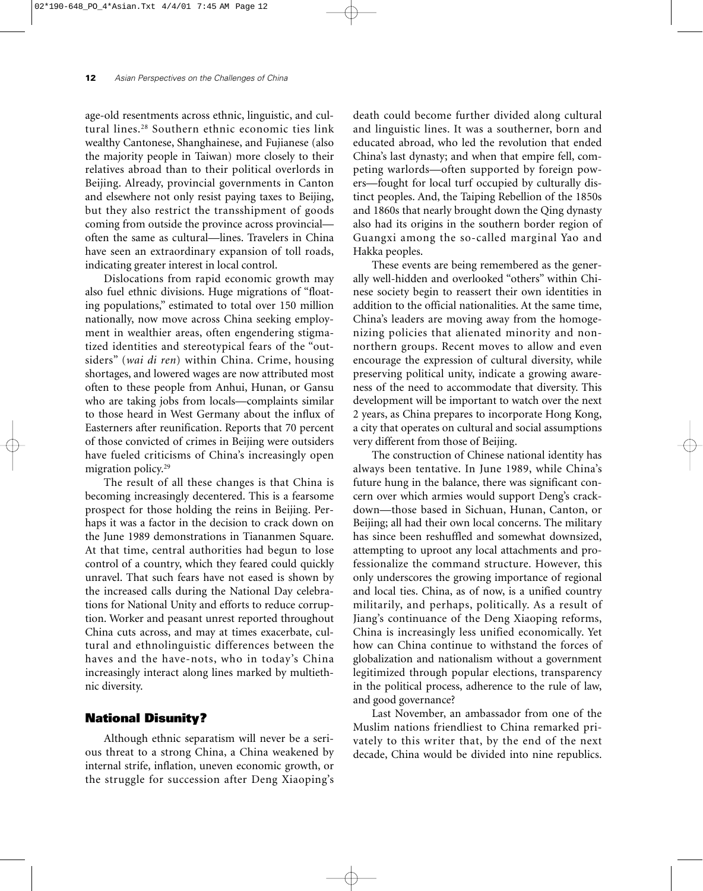age-old resentments across ethnic, linguistic, and cultural lines.28 Southern ethnic economic ties link wealthy Cantonese, Shanghainese, and Fujianese (also the majority people in Taiwan) more closely to their relatives abroad than to their political overlords in Beijing. Already, provincial governments in Canton and elsewhere not only resist paying taxes to Beijing, but they also restrict the transshipment of goods coming from outside the province across provincial often the same as cultural—lines. Travelers in China have seen an extraordinary expansion of toll roads, indicating greater interest in local control.

Dislocations from rapid economic growth may also fuel ethnic divisions. Huge migrations of "floating populations," estimated to total over 150 million nationally, now move across China seeking employment in wealthier areas, often engendering stigmatized identities and stereotypical fears of the "outsiders" (*wai di ren*) within China. Crime, housing shortages, and lowered wages are now attributed most often to these people from Anhui, Hunan, or Gansu who are taking jobs from locals—complaints similar to those heard in West Germany about the influx of Easterners after reunification. Reports that 70 percent of those convicted of crimes in Beijing were outsiders have fueled criticisms of China's increasingly open migration policy.29

The result of all these changes is that China is becoming increasingly decentered. This is a fearsome prospect for those holding the reins in Beijing. Perhaps it was a factor in the decision to crack down on the June 1989 demonstrations in Tiananmen Square. At that time, central authorities had begun to lose control of a country, which they feared could quickly unravel. That such fears have not eased is shown by the increased calls during the National Day celebrations for National Unity and efforts to reduce corruption. Worker and peasant unrest reported throughout China cuts across, and may at times exacerbate, cultural and ethnolinguistic differences between the haves and the have-nots, who in today's China increasingly interact along lines marked by multiethnic diversity.

#### **National Disunity?**

Although ethnic separatism will never be a serious threat to a strong China, a China weakened by internal strife, inflation, uneven economic growth, or the struggle for succession after Deng Xiaoping's death could become further divided along cultural and linguistic lines. It was a southerner, born and educated abroad, who led the revolution that ended China's last dynasty; and when that empire fell, competing warlords—often supported by foreign powers—fought for local turf occupied by culturally distinct peoples. And, the Taiping Rebellion of the 1850s and 1860s that nearly brought down the Qing dynasty also had its origins in the southern border region of Guangxi among the so-called marginal Yao and Hakka peoples.

These events are being remembered as the generally well-hidden and overlooked "others" within Chinese society begin to reassert their own identities in addition to the official nationalities. At the same time, China's leaders are moving away from the homogenizing policies that alienated minority and nonnorthern groups. Recent moves to allow and even encourage the expression of cultural diversity, while preserving political unity, indicate a growing awareness of the need to accommodate that diversity. This development will be important to watch over the next 2 years, as China prepares to incorporate Hong Kong, a city that operates on cultural and social assumptions very different from those of Beijing.

The construction of Chinese national identity has always been tentative. In June 1989, while China's future hung in the balance, there was significant concern over which armies would support Deng's crackdown—those based in Sichuan, Hunan, Canton, or Beijing; all had their own local concerns. The military has since been reshuffled and somewhat downsized, attempting to uproot any local attachments and professionalize the command structure. However, this only underscores the growing importance of regional and local ties. China, as of now, is a unified country militarily, and perhaps, politically. As a result of Jiang's continuance of the Deng Xiaoping reforms, China is increasingly less unified economically. Yet how can China continue to withstand the forces of globalization and nationalism without a government legitimized through popular elections, transparency in the political process, adherence to the rule of law, and good governance?

Last November, an ambassador from one of the Muslim nations friendliest to China remarked privately to this writer that, by the end of the next decade, China would be divided into nine republics.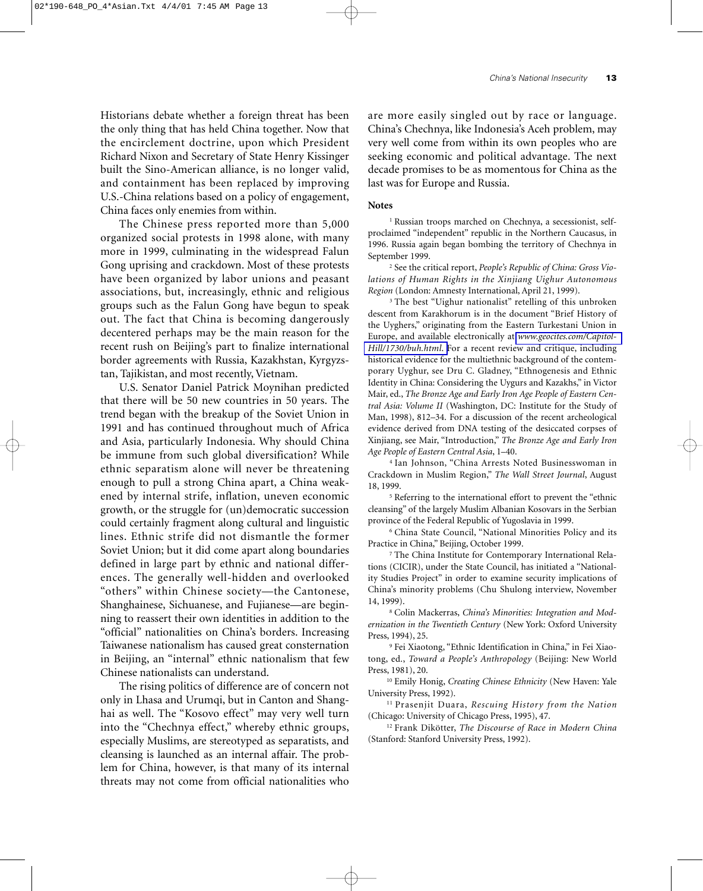Historians debate whether a foreign threat has been the only thing that has held China together. Now that the encirclement doctrine, upon which President Richard Nixon and Secretary of State Henry Kissinger built the Sino-American alliance, is no longer valid, and containment has been replaced by improving U.S.-China relations based on a policy of engagement, China faces only enemies from within.

The Chinese press reported more than 5,000 organized social protests in 1998 alone, with many more in 1999, culminating in the widespread Falun Gong uprising and crackdown. Most of these protests have been organized by labor unions and peasant associations, but, increasingly, ethnic and religious groups such as the Falun Gong have begun to speak out. The fact that China is becoming dangerously decentered perhaps may be the main reason for the recent rush on Beijing's part to finalize international border agreements with Russia, Kazakhstan, Kyrgyzstan, Tajikistan, and most recently, Vietnam.

U.S. Senator Daniel Patrick Moynihan predicted that there will be 50 new countries in 50 years. The trend began with the breakup of the Soviet Union in 1991 and has continued throughout much of Africa and Asia, particularly Indonesia. Why should China be immune from such global diversification? While ethnic separatism alone will never be threatening enough to pull a strong China apart, a China weakened by internal strife, inflation, uneven economic growth, or the struggle for (un)democratic succession could certainly fragment along cultural and linguistic lines. Ethnic strife did not dismantle the former Soviet Union; but it did come apart along boundaries defined in large part by ethnic and national differences. The generally well-hidden and overlooked "others" within Chinese society—the Cantonese, Shanghainese, Sichuanese, and Fujianese—are beginning to reassert their own identities in addition to the "official" nationalities on China's borders. Increasing Taiwanese nationalism has caused great consternation in Beijing, an "internal" ethnic nationalism that few Chinese nationalists can understand.

The rising politics of difference are of concern not only in Lhasa and Urumqi, but in Canton and Shanghai as well. The "Kosovo effect" may very well turn into the "Chechnya effect," whereby ethnic groups, especially Muslims, are stereotyped as separatists, and cleansing is launched as an internal affair. The problem for China, however, is that many of its internal threats may not come from official nationalities who are more easily singled out by race or language. China's Chechnya, like Indonesia's Aceh problem, may very well come from within its own peoples who are seeking economic and political advantage. The next decade promises to be as momentous for China as the last was for Europe and Russia.

#### **Notes**

<sup>1</sup> Russian troops marched on Chechnya, a secessionist, selfproclaimed "independent" republic in the Northern Caucasus, in 1996. Russia again began bombing the territory of Chechnya in September 1999.

<sup>2</sup> See the critical report, *People's Republic of China: Gross Violations of Human Rights in the Xinjiang Uighur Autonomous Region* (London: Amnesty International, April 21, 1999).

<sup>3</sup> The best "Uighur nationalist" retelling of this unbroken descent from Karakhorum is in the document "Brief History of the Uyghers," originating from the Eastern Turkestani Union in Europe, and available electronically at *[www.geocites.com/Capitol-](http://library.nps.navy.mil/homesec/docs/dod/www.geocities.com/CapitolHill/1730/buh.html)[Hill/1730/buh.html](http://library.nps.navy.mil/homesec/docs/dod/www.geocities.com/CapitolHill/1730/buh.html)*. For a recent review and critique, including historical evidence for the multiethnic background of the contemporary Uyghur, see Dru C. Gladney, "Ethnogenesis and Ethnic Identity in China: Considering the Uygurs and Kazakhs," in Victor Mair, ed., *The Bronze Age and Early Iron Age People of Eastern Central Asia: Volume II* (Washington, DC: Institute for the Study of Man, 1998), 812–34. For a discussion of the recent archeological evidence derived from DNA testing of the desiccated corpses of Xinjiang, see Mair, "Introduction," *The Bronze Age and Early Iron Age People of Eastern Central Asia*, 1–40.

<sup>4</sup> Ian Johnson, "China Arrests Noted Businesswoman in Crackdown in Muslim Region," *The Wall Street Journal*, August 18, 1999.

<sup>5</sup> Referring to the international effort to prevent the "ethnic cleansing" of the largely Muslim Albanian Kosovars in the Serbian province of the Federal Republic of Yugoslavia in 1999.

<sup>6</sup> China State Council, "National Minorities Policy and its Practice in China," Beijing, October 1999.

<sup>7</sup> The China Institute for Contemporary International Relations (CICIR), under the State Council, has initiated a "Nationality Studies Project" in order to examine security implications of China's minority problems (Chu Shulong interview, November 14, 1999).

<sup>8</sup> Colin Mackerras, *China's Minorities: Integration and Modernization in the Twentieth Century* (New York: Oxford University Press, 1994), 25.

<sup>9</sup> Fei Xiaotong, "Ethnic Identification in China," in Fei Xiaotong, ed., *Toward a People's Anthropology* (Beijing: New World Press, 1981), 20.

<sup>10</sup> Emily Honig, *Creating Chinese Ethnicity* (New Haven: Yale University Press, 1992).

<sup>11</sup> Prasenjit Duara, *Rescuing History from the Nation* (Chicago: University of Chicago Press, 1995), 47.

<sup>12</sup> Frank Dikötter, *The Discourse of Race in Modern China* (Stanford: Stanford University Press, 1992).